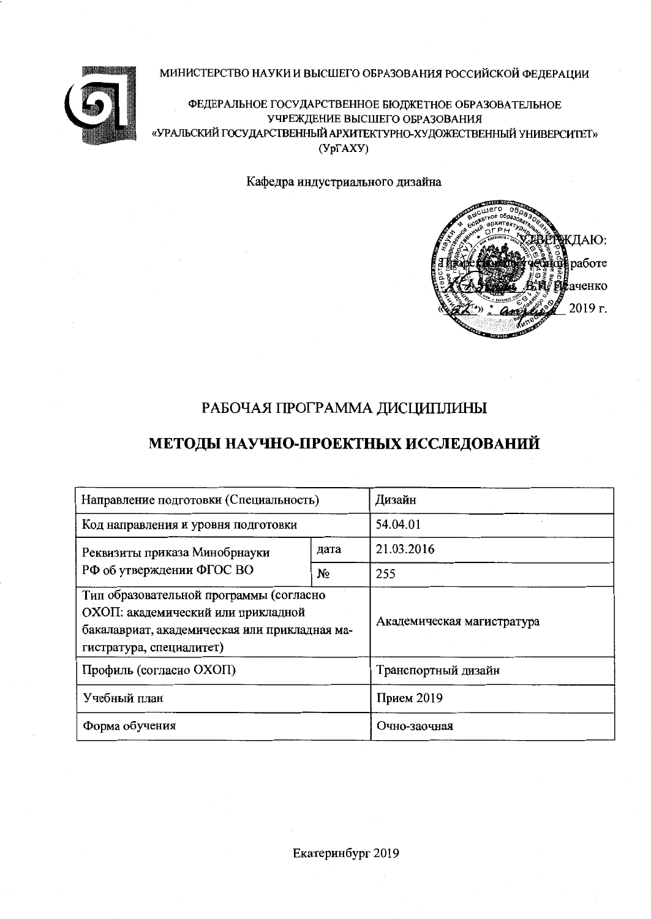#### МИНИСТЕРСТВО НАУКИ И ВЫСШЕГО ОБРАЗОВАНИЯ РОССИЙСКОЙ ФЕДЕРАЦИИ



ФЕДЕРАЛЬНОЕ ГОСУДАРСТВЕННОЕ БЮДЖЕТНОЕ ОБРАЗОВАТЕЛЬНОЕ УЧРЕЖДЕНИЕ ВЫСШЕГО ОБРАЗОВАНИЯ «УРАЛЬСКИЙ ГОСУДАРСТВЕННЫЙ АРХИТЕКТУРНО-ХУДОЖЕСТВЕННЫЙ УНИВЕРСИТЕТ»  $(Yp\Gamma A XY)$ 

Кафедра индустриального дизайна



# РАБОЧАЯ ПРОГРАММА ДИСЦИПЛИНЫ

# МЕТОДЫ НАУЧНО-ПРОЕКТНЫХ ИССЛЕДОВАНИЙ

| Направление подготовки (Специальность)                                                                                                                     | Дизайн                     |                     |  |  |
|------------------------------------------------------------------------------------------------------------------------------------------------------------|----------------------------|---------------------|--|--|
| Код направления и уровня подготовки                                                                                                                        | 54.04.01                   |                     |  |  |
| Реквизиты приказа Минобрнауки                                                                                                                              | дата                       | 21.03.2016          |  |  |
| РФ об утверждении ФГОС ВО                                                                                                                                  | $N_2$                      | 255                 |  |  |
| Тип образовательной программы (согласно<br>ОХОП: академический или прикладной<br>бакалавриат, академическая или прикладная ма-<br>гистратура, специалитет) | Академическая магистратура |                     |  |  |
| Профиль (согласно ОХОП)                                                                                                                                    |                            | Транспортный дизайн |  |  |
| Учебный план                                                                                                                                               | Прием 2019                 |                     |  |  |
| Форма обучения                                                                                                                                             | Очно-заочная               |                     |  |  |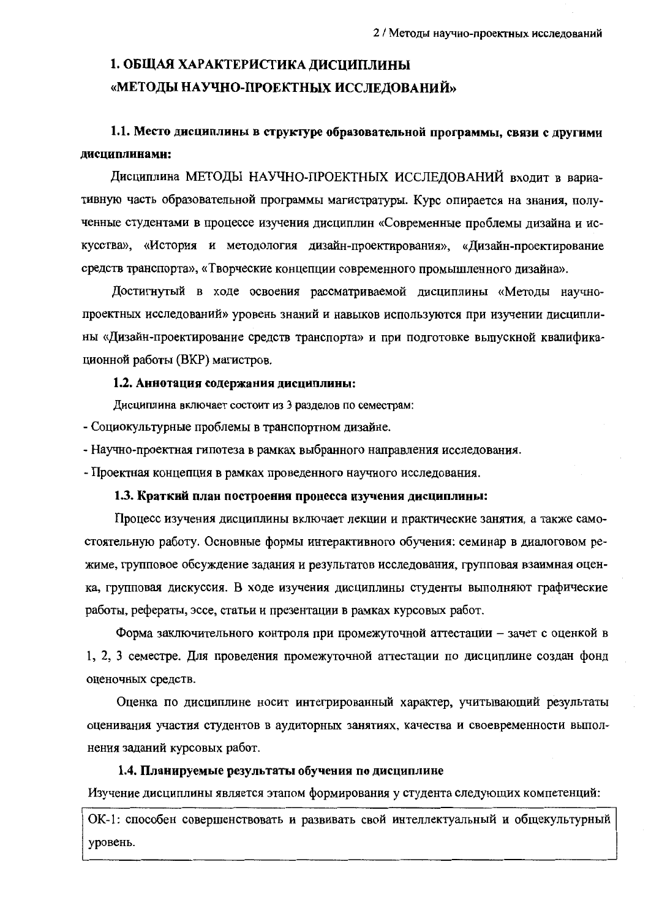# 1. ОБЩАЯ ХАРАКТЕРИСТИКА ДИСЦИПЛИНЫ «МЕТОДЫ НАУЧНО-ПРОЕКТНЫХ ИССЛЕДОВАНИЙ»

# 1.1. Место дисциплины в структуре образовательной программы, связи с другими дисциплинами:

Дисциплина МЕТОДЫ НАУЧНО-ПРОЕКТНЫХ ИССЛЕДОВАНИЙ входит в вариативную часть образовательной программы магистратуры. Курс опирается на знания, полученные студентами в процессе изучения дисциплин «Современные проблемы дизайна и искусства», «История и методология дизайн-проектирования», «Дизайн-проектирование средств транспорта», «Творческие концепции современного промышленного дизайна».

Достигнутый в ходе освоения рассматриваемой дисциплины «Метолы научнопроектных исследований» уровень знаний и навыков используются при изучении дисциплины «Дизайн-проектирование средств транспорта» и при подготовке выпускной квалификационной работы (ВКР) магистров.

#### 1.2. Аннотация содержания дисциплины:

Дисциплина включает состоит из 3 разделов по семестрам:

- Социокультурные проблемы в транспортном дизайне.

- Научно-проектная гипотеза в рамках выбранного направления исследования.

- Проектная концепция в рамках проведенного научного исследования.

#### 1.3. Краткий план построения процесса изучения дисциплины:

Процесс изучения дисциплины включает лекции и практические занятия, а также самостоятельную работу. Основные формы интерактивного обучения: семинар в диалоговом режиме, групповое обсуждение задания и результатов исследования, групповая взаимная оценка, групповая дискуссия. В ходе изучения дисциплины студенты выполняют графические работы, рефераты, эссе, статьи и презентации в рамках курсовых работ.

Форма заключительного контроля при промежуточной аттестации - зачет с оценкой в 1, 2, 3 семестре. Для проведения промежуточной аттестации по дисциплине создан фонд оценочных средств.

Оценка по дисциплине носит интегрированный характер, учитывающий результаты оценивания участия студентов в аудиторных занятиях, качества и своевременности выполнения заданий курсовых работ.

#### 1.4. Планируемые результаты обучения по дисциплине

Изучение дисциплины является этапом формирования у студента следующих компетенций:

ОК-1: способен совершенствовать и развивать свой интеллектуальный и общекультурный уровень.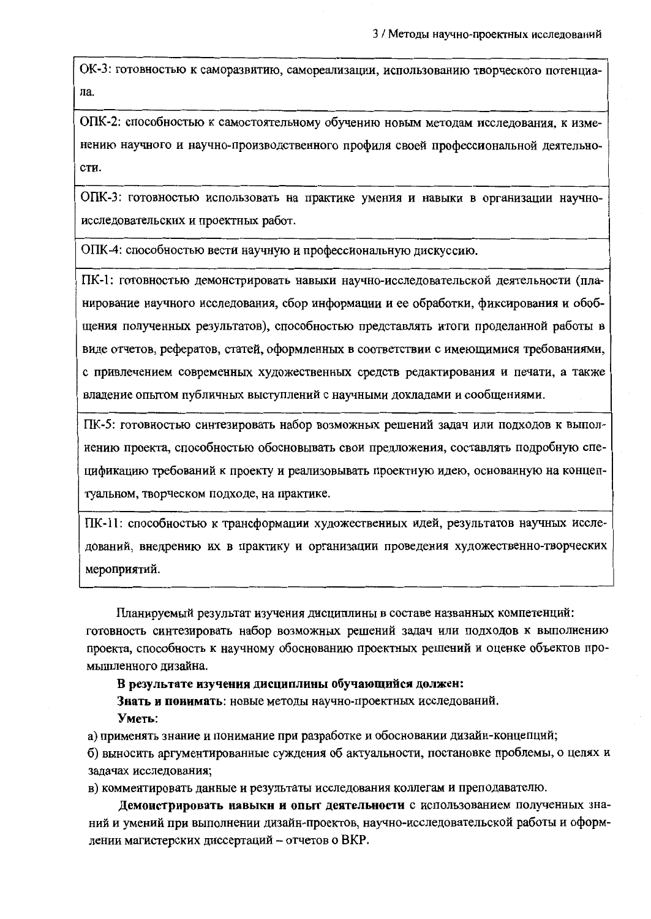ОК-3: готовностью к саморазвитию, самореализации, использованию творческого потенциала.

ОПК-2: способностью к самостоятельному обучению новым методам исследования, к изменению научного и научно-производственного профиля своей профессиональной деятельности.

ОПК-3: готовностью использовать на практике умения и навыки в организации научноисследовательских и проектных работ.

ОПК-4: способностью вести научную и профессиональную дискуссию.

ПК-1: готовностью демонстрировать навыки научно-исследовательской деятельности (планирование научного исследования, сбор информации и ее обработки, фиксирования и обобщения полученных результатов), способностью представлять итоги проделанной работы в виде отчетов, рефератов, статей, оформленных в соответствии с имеющимися требованиями, с привлечением современных художественных средств редактирования и печати, а также владение опытом публичных выступлений с научными докладами и сообщениями.

ПК-5: готовностью синтезировать набор возможных решений задач или подходов к выполнению проекта, способностью обосновывать свои предложения, составлять подробную спецификацию требований к проекту и реализовывать проектную идею, основанную на концептуальном, творческом подходе, на практике.

ПК-11: способностью к трансформации художественных идей, результатов научных исследований, внедрению их в практику и организации проведения художественно-творческих мероприятий.

Планируемый результат изучения дисциплины в составе названных компетенций: готовность синтезировать набор возможных решений задач или подходов к выполнению проекта, способность к научному обоснованию проектных решений и оценке объектов промышленного дизайна.

В результате изучения дисциплины обучающийся должен:

Знать и поиимать: новые методы научно-проектных исследований. Уметь:

а) применять знание и понимание при разработке и обосновании дизайн-концепций;

б) выносить аргументированные суждения об актуальности, постановке проблемы, о целях и задачах исследования;

в) комментировать данные и результаты исследования коллегам и преподавателю.

Демонстрировать навыки и опыт деятельности с использованием полученных знаний и умений при выполнении дизайн-проектов, научно-исследовательской работы и оформлении магистерских диссертаций - отчетов о ВКР.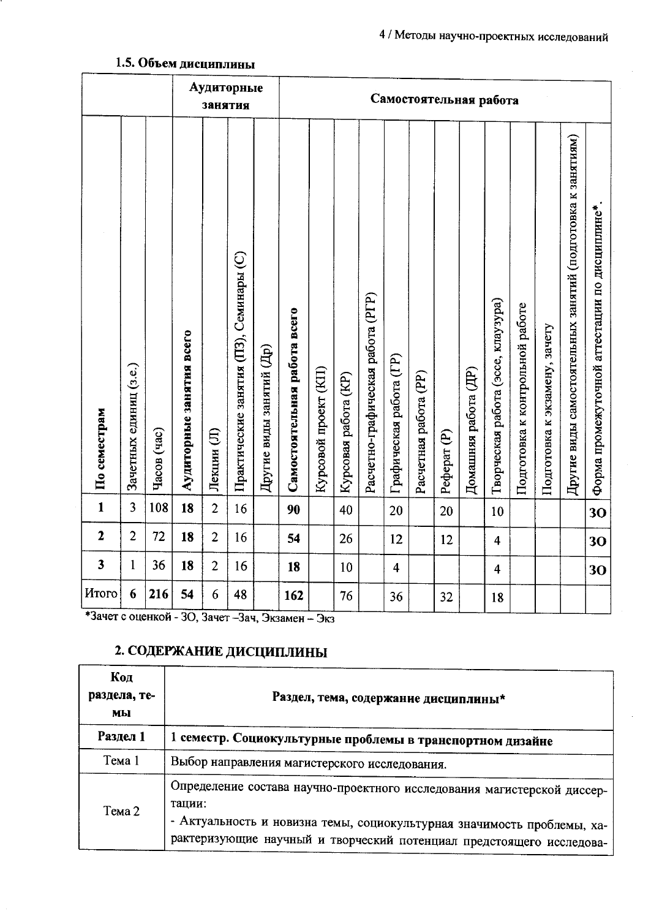| Аудиторные<br>занятия   |                        |             |                          |                |                                         |                          |                              |                      |                      |                                   |                         |                       | Самостоятельная работа |                      |                                    |                                 |                               |                                                             |                                                |
|-------------------------|------------------------|-------------|--------------------------|----------------|-----------------------------------------|--------------------------|------------------------------|----------------------|----------------------|-----------------------------------|-------------------------|-----------------------|------------------------|----------------------|------------------------------------|---------------------------------|-------------------------------|-------------------------------------------------------------|------------------------------------------------|
| По семестрам            | Зачетных единиц (з.е.) | Часов (час) | Аудиторные занятия всего | Лекции (Л)     | Практические занятия (ПЗ), Семинары (С) | Другие виды занятий (Др) | Самостоятельная работа всего | Курсовой проект (КП) | Курсовая работа (KP) | Расчетно-графическая работа (РГР) | Графическая работа (ГР) | Расчетная работа (PP) | Pedepar <sub>(P)</sub> | Домашняя работа (ДР) | Творческая работа (эссе, клаузура) | Подготовка к контрольной работе | Подготовка к экзамену, зачету | Другие виды самостоятельных занятий (подготовка к занятиям) | Форма промежуточной аттестации по дисциплине*. |
| $\mathbf{1}$            | 3                      | 108         | 18                       | $\overline{2}$ | 16                                      |                          | 90                           |                      | 40                   |                                   | 20                      |                       | 20                     |                      | 10                                 |                                 |                               |                                                             | 30                                             |
| $\overline{2}$          | $\overline{2}$         | 72          | 18                       | $\overline{2}$ | 16                                      |                          | 54                           |                      | 26                   |                                   | 12                      |                       | 12                     |                      | $\overline{\mathbf{4}}$            |                                 |                               |                                                             | 30                                             |
| $\overline{\mathbf{3}}$ | $\mathbf{1}$           | 36          | 18                       | $\overline{2}$ | 16                                      |                          | 18                           |                      | 10                   |                                   | $\overline{\mathbf{4}}$ |                       |                        |                      | $\overline{4}$                     |                                 |                               |                                                             | 30                                             |
| Итого                   | 6                      | 216         | 54                       | 6              | 48                                      |                          | 162                          |                      | 76                   |                                   | 36                      |                       | 32                     |                      | 18                                 |                                 |                               |                                                             |                                                |

# 1.5. Объем дисциплины

\*Зачет с оценкой - 30, Зачет -Зач, Экзамен - Экз

# 2. СОДЕРЖАНИЕ ДИСЦИПЛИНЫ

| Код<br>раздела, те-<br>мы | Раздел, тема, содержание дисциплины*                                                                                                                                                                                                 |
|---------------------------|--------------------------------------------------------------------------------------------------------------------------------------------------------------------------------------------------------------------------------------|
| Раздел 1                  | 1 семестр. Социокультурные проблемы в транспортном дизайне                                                                                                                                                                           |
| Tема 1                    | Выбор направления магистерского исследования.                                                                                                                                                                                        |
| Тема 2                    | Определение состава научно-проектного исследования магистерской диссер-<br>тации:<br>- Актуальность и новизна темы, социокультурная значимость проблемы, ха-<br>рактеризующие научный и творческий потенциал предстоящего исследова- |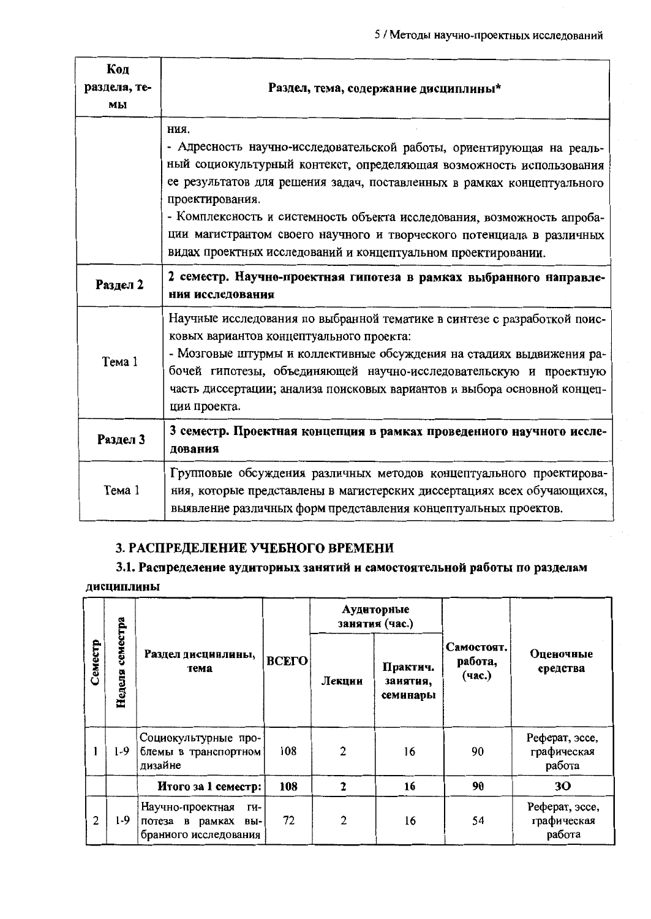| Код<br>раздела, те-<br>мы | Раздел, тема, содержание дисциплины*                                                                                                                                                                                                                                                                                                                                                                                                                                     |
|---------------------------|--------------------------------------------------------------------------------------------------------------------------------------------------------------------------------------------------------------------------------------------------------------------------------------------------------------------------------------------------------------------------------------------------------------------------------------------------------------------------|
|                           | ния.<br>- Адресность научно-исследовательской работы, ориентирующая на реаль-<br>ный социокультурный контекст, определяющая возможность использования<br>ее результатов для решения задач, поставленных в рамках концептуального<br>проектирования.<br>- Комплексность и системность объекта исследования, возможность апроба-<br>ции магистрантом своего научного и творческого потенциала в различных<br>видах проектных исследований и концептуальном проектировании. |
| Раздел 2                  | 2 семестр. Научно-проектная гипотеза в рамках выбранного направле-<br>ния исследования                                                                                                                                                                                                                                                                                                                                                                                   |
| Тема 1                    | Научные исследования по выбранной тематике в синтезе с разработкой поис-<br>ковых вариантов концептуального проекта:<br>- Мозговые штурмы и коллективные обсуждения на стадиях выдвижения ра-<br>бочей гипотезы, объединяющей научно-исследовательскую и проектную<br>часть диссертации; анализа поисковых вариантов и выбора основной концеп-<br>ции проекта.                                                                                                           |
| Раздел 3                  | 3 семестр. Проектная концепция в рамках проведенного научного иссле-<br>дования                                                                                                                                                                                                                                                                                                                                                                                          |
| Тема 1                    | Групповые обсуждения различных методов концептуального проектирова-<br>ния, которые представлены в магистерских диссертациях всех обучающихся,<br>выявление различных форм представления концептуальных проектов.                                                                                                                                                                                                                                                        |

## 3. РАСПРЕДЕЛЕНИЕ УЧЕБНОГО ВРЕМЕНИ

# 3.1. Распределение аудиториых занятий и самостоятельной работы по разделам дисциплины

|                               |       |                                                                               |       |                | Аудиторные<br>занятия (час.)     |                                 |                                         |  |
|-------------------------------|-------|-------------------------------------------------------------------------------|-------|----------------|----------------------------------|---------------------------------|-----------------------------------------|--|
| семестра<br>Семестр<br>Неделя |       | Раздел дисциплины,<br>тема                                                    | ВСЕГО | Лекции         | Практич.<br>занятия,<br>семинары | Самостоят.<br>работа,<br>(час.) | Оценочные<br>средства                   |  |
|                               | 1-9   | Социокультурные про-<br>блемы в транспортном<br>дизайне                       | 108   | $\mathfrak{a}$ | 16                               | 90                              | Реферат, эссе,<br>графическая<br>работа |  |
|                               |       | Итого за 1 семестр:                                                           | 108   | $\mathbf{2}$   | 16                               | 90                              | 30                                      |  |
| $\mathbf{2}$                  | $1-9$ | Научно-проектная<br>ΓИ-<br>потеза в<br>рамках<br>вы-<br>бранного исследования | 72    | $\overline{c}$ | 16                               | 54                              | Реферат, эссе,<br>графическая<br>работа |  |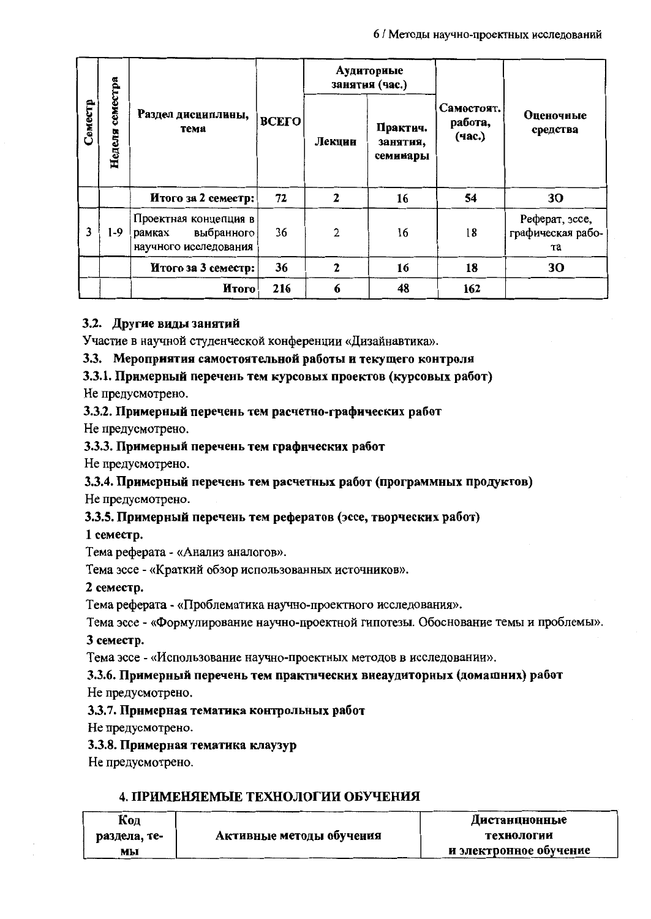|                               |       |                                                                        |       |        | Аудиториые<br>занятия (час.)     |                                 |                                           |  |
|-------------------------------|-------|------------------------------------------------------------------------|-------|--------|----------------------------------|---------------------------------|-------------------------------------------|--|
| семестра<br>Семестр<br>Неделя |       | Раздел дисциплины,<br>тема                                             | ВСЕГО | Лекции | Практич.<br>занятия,<br>семииары | Самостоят.<br>работа,<br>(час.) | Оценочные<br>средства                     |  |
|                               |       | Итого за 2 семестр:                                                    | 72    | 2      | 16                               | 54                              | 30                                        |  |
| 3                             | $1-9$ | Проектная концепция в<br>выбранного<br>рамках<br>научного исследования | 36    | 2      | 16                               | 18                              | Реферат, эссе,<br>графическая рабо-<br>та |  |
|                               |       | Итого за 3 семестр:                                                    | 36    | 2      | 16                               | 18                              | 30                                        |  |
|                               |       | <b>H</b> roro                                                          | 216   | 6      | 48                               | 162                             |                                           |  |

## 3.2. Другие виды занятий

Участие в научной студенческой конференции «Дизайнавтика».

3.3. Мероприятия самостоятельной работы и текущего контроля

## 3.3.1. Примерный перечень тем курсовых проектов (курсовых работ)

Не предусмотрено.

#### 3.3.2. Примерный перечень тем расчетно-графических работ

Не предусмотрено.

#### 3.3.3. Примерный перечень тем графических работ

Не предусмотрено.

# 3.3.4. Примерный перечень тем расчетных работ (программных продуктов)

Не предусмотрено.

## 3.3.5. Примерный перечень тем рефератов (эссе, творческих работ)

1 семестр.

Тема реферата - «Анализ аналогов».

Тема эссе - «Краткий обзор использованных источников».

2 семестр.

Тема реферата - «Проблематика научно-проектного исследования».

Тема эссе - «Формулирование научно-проектной гипотезы. Обоснование темы и проблемы».

3 семестр.

Тема эссе - «Использование научно-проектных методов в исследовании».

## 3.3.6. Примерный перечень тем практических внеаудиторных (домашних) работ

Не предусмотрено.

## 3.3.7. Примерная тематика контрольных работ

Не предусмотрено.

3.3.8. Примерная тематика клаузур

Не предусмотрено.

## 4. ПРИМЕНЯЕМЫЕ ТЕХНОЛОГИИ ОБУЧЕНИЯ

| Код          |                          | Дистанционные          |
|--------------|--------------------------|------------------------|
| раздела, те- | Активные методы обучения | технологии             |
| мы           |                          | и электронное обучение |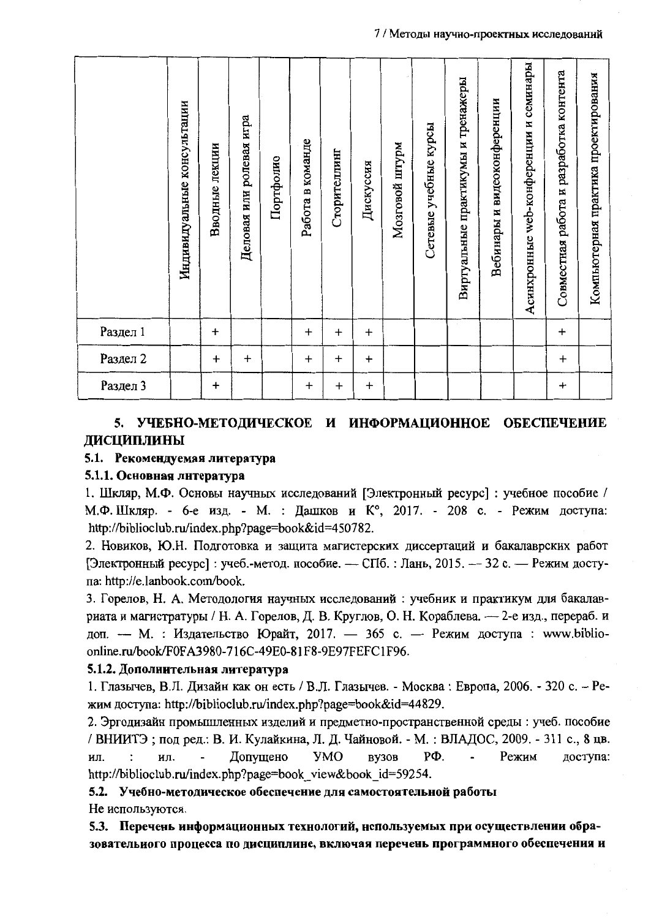#### 7 / Методы научно-проектных исследований

|          | Индивидуальные консультации | Вводные лекции | ролевая игра<br>Деловая или | Портфолио | Работа в команде | Сторителлинг | Дискуссия | Мозговой штурм | учебные курсы<br>Сетевые | Виртуальные практикумы и тренажеры | Вебинары и видеоконференции | семинары<br>Асинхронные web-конференции и | разработка контента<br>Совместная работа и | Компьютерная практика проектирования |
|----------|-----------------------------|----------------|-----------------------------|-----------|------------------|--------------|-----------|----------------|--------------------------|------------------------------------|-----------------------------|-------------------------------------------|--------------------------------------------|--------------------------------------|
| Раздел 1 |                             | $\ddot{}$      |                             |           | $\ddot{}$        | $\ddot{}$    | $\ddot{}$ |                |                          |                                    |                             |                                           | $+$                                        |                                      |
| Раздел 2 |                             | $\ddot{}$      | $\ddot{}$                   |           | $\ddagger$       | $\ddot{}$    | $\ddot{}$ |                |                          |                                    |                             |                                           | $\ddot{}$                                  |                                      |
| Раздел 3 |                             | $\ddot{}$      |                             |           | $\ddot{}$        | $\ddot{}$    | $\ddot{}$ |                |                          |                                    |                             |                                           | $\ddot{}$                                  |                                      |

## 5. УЧЕБНО-МЕТОДИЧЕСКОЕ И ИНФОРМАЦИОННОЕ ОБЕСПЕЧЕНИЕ ДИСЦИПЛИНЫ

#### 5.1. Рекомендуемая литература

#### 5.1.1. Основная литература

1. Шкляр, М.Ф. Основы научных исследований [Электронный ресурс] : учебное пособие / М.Ф. Шкляр. - 6-е изд. - М. : Дашков и К°, 2017. - 208 с. - Режим доступа: http://biblioclub.ru/index.php?page=book&id=450782.

2. Новиков, Ю.Н. Подготовка и защита магистерских диссертаций и бакалаврских работ [Электронный ресурс]: учеб.-метод. пособие. — СПб.: Лань, 2015. — 32 с. — Режим доступа: http://e.lanbook.com/book.

3. Горелов, Н. А. Методология научных исследований: учебник и практикум для бакалавриата и магистратуры / Н. А. Горелов, Д. В. Круглов, О. Н. Кораблева. — 2-е изд., перераб. и доп. - М. : Издательство Юрайт, 2017. - 365 с. - Режим доступа : www.biblioonline.ru/book/F0FA3980-716C-49E0-81F8-9E97FEFC1F96.

#### 5.1.2. Дополнительная литература

1. Глазычев, В.Л. Дизайн как он есть / В.Л. Глазычев. - Москва: Европа, 2006. - 320 с. – Режим доступа: http://biblioclub.ru/index.php?page=book&id=44829.

2. Эргодизайн промышленных изделий и предметно-пространственной среды : учеб. пособие / ВНИИТЭ; под ред.: В. И. Кулайкина, Л. Д. Чайновой. - М. : ВЛАДОС, 2009. - 311 с., 8 цв. PФ. Допущено **YMO** BV30B Режим доступа: ИЛ. ИЛ. http://biblioclub.ru/index.php?page=book view&book id=59254.

#### 5.2. Учебно-методическое обеспечение для самостоятельной работы Не используются.

5.3. Перечень информационных технологий, нспользуемых при осуществлении образовательного процесса по дисциплине, включая перечень программного обеспечения и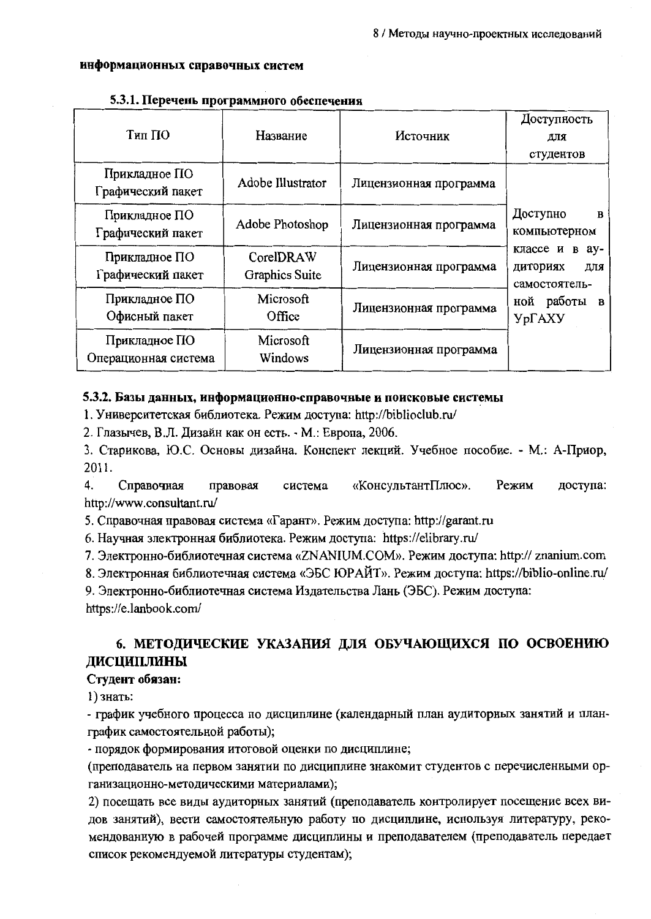#### информационных справочных систем

| Тип ПО                                | Название                    | Источник               | Доступность<br>для                                         |  |
|---------------------------------------|-----------------------------|------------------------|------------------------------------------------------------|--|
|                                       |                             |                        | студентов                                                  |  |
| Прикладное ПО<br>Графический пакет    | Adobe Illustrator           | Лицензионная программа |                                                            |  |
| Прикладное ПО<br>Графический пакет    | Adobe Photoshop             | Лицензионная программа | Доступно<br>$\mathbf{B}$<br>компьютерном                   |  |
| Прикладное ПО<br>Графический пакет    | CorelDRAW<br>Graphics Suite | Лицензионная программа | классе и<br>$B$ $aV$ -<br>диториях<br>для<br>самостоятель- |  |
| Прикладное ПО<br>Офисный пакет        | Microsoft<br>Office         | Лицензионная программа | ной работы<br>$\mathbf{B}$<br>УрГАХУ                       |  |
| Прикладное ПО<br>Операционная система | Microsoft<br>Windows        | Лицензионная программа |                                                            |  |

#### 5.3.1. Перечень программного обеспечения

#### 5.3.2. Базы данных, информационно-справочные и поисковые системы

1. Университетская библиотека. Режим доступа: http://biblioclub.ru/

2. Глазычев, В.Л. Дизайн как он есть. - М.: Европа, 2006.

3. Старикова, Ю.С. Основы дизайна. Конспект лекций. Учебное пособие. - М.: А-Приор, 2011.

 $\overline{4}$ Справочная «КонсультантПлюс». Режим правовая система доступа: http://www.consultant.ru/

5. Справочная правовая система «Гарант». Режим доступа: http://garant.ru

6. Научная электронная библиотека. Режим доступа: https://elibrary.ru/

7. Электронно-библиотечная система «ZNANIUM.COM». Режим доступа: http:// znanium.com

8. Электронная библиотечная система «ЭБС ЮРАЙТ». Режим доступа: https://biblio-online.ru/

9. Электронно-библиотечная система Издательства Лань (ЭБС). Режим доступа: https://e.lanbook.com/

## 6. МЕТОДИЧЕСКИЕ УКАЗАНИЯ ДЛЯ ОБУЧАЮЩИХСЯ ПО ОСВОЕНИЮ ДИСЦИПЛИНЫ

#### Студент обязан:

1) знать:

- график учебного процесса по дисциплине (календарный план аудиторных занятий и планграфик самостоятельной работы);

- порядок формирования итоговой оценки по дисциплине;

(преподаватель на первом занятии по дисциплине знакомит студентов с перечисленными организационно-методическими материалами);

2) посещать все виды аудиторных занятий (преподаватель контролирует посещение всех видов занятий), вести самостоятельную работу по дисциплине, используя литературу, рекомендованную в рабочей программе дисциплины и преподавателем (преподаватель передает список рекомендуемой литературы студентам);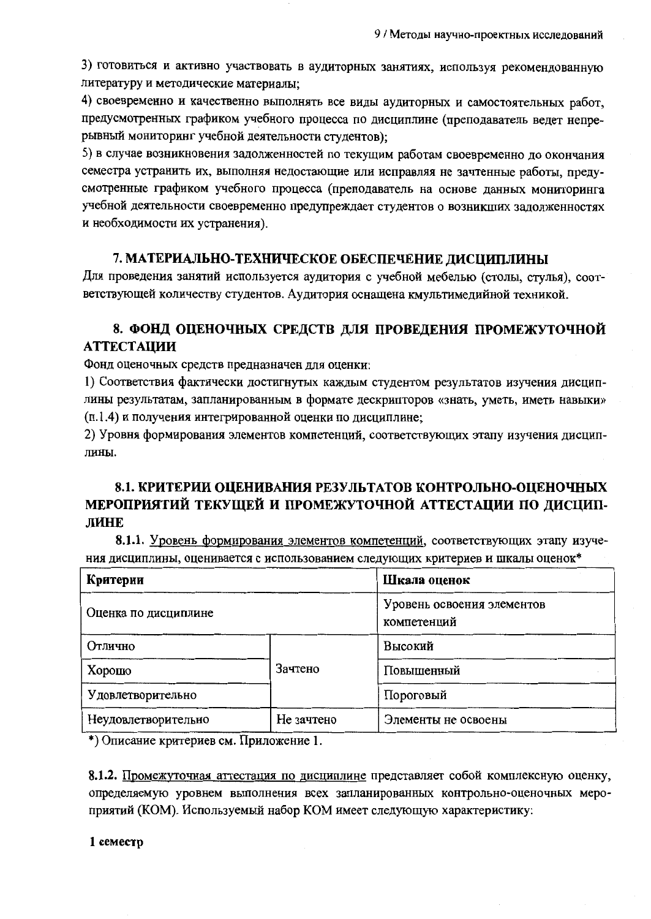3) готовиться и активно участвовать в аудиторных занятиях, используя рекомендованную литературу и методические материалы;

4) своевременно и качественно выполнять все виды аудиторных и самостоятельных работ, предусмотренных графиком учебного процесса по дисциплине (преподаватель ведет непрерывный мониторинг учебной деятельности студентов);

5) в случае возникновения задолженностей по текущим работам своевременно до окончания семестра устранить их, выполняя недостающие или исправляя не зачтенные работы, предусмотренные графиком учебного процесса (преподаватель на основе данных мониторинга учебной деятельности своевременно предупреждает студентов о возникших задолженностях и необходимости их устранения).

## 7. МАТЕРИАЛЬНО-ТЕХНИЧЕСКОЕ ОБЕСПЕЧЕНИЕ ДИСЦИПЛИНЫ

Для проведения занятий используется аудитория с учебной мебелью (столы, стулья), соответствующей количеству студентов. Аудитория оснащена кмультимедийной техникой.

# 8. ФОНД ОЦЕНОЧНЫХ СРЕДСТВ ДЛЯ ПРОВЕДЕНИЯ ПРОМЕЖУТОЧНОЙ **АТТЕСТАЦИИ**

Фонд оценочных средств предназначен для оценки:

1) Соответствия фактически достигнутых каждым студентом результатов изучения дисциплины результатам, запланированным в формате дескрипторов «знать, уметь, иметь навыки» (п.1.4) и получения интегрированной оценки по дисциплине;

2) Уровня формирования элементов компетенций, соответствующих этапу изучения дисциплины.

# 8.1. КРИТЕРИИ ОЦЕНИВАНИЯ РЕЗУЛЬТАТОВ КОНТРОЛЬНО-ОЦЕНОЧНЫХ МЕРОПРИЯТИЙ ТЕКУЩЕЙ И ПРОМЕЖУТОЧНОЙ АТТЕСТАЦИИ ПО ДИСЦИП-ЛИНЕ

8.1.1. Уровень формирования элементов компетенций, соответствующих этапу изучения дисциплины, оценивается с использованием следующих критериев и шкалы оценок\*

| Критерии             | Шкала оценок                              |                     |  |  |
|----------------------|-------------------------------------------|---------------------|--|--|
| Оценка по дисциплине | Уровень освоения элементов<br>компетенций |                     |  |  |
| Отлично              |                                           | Высокий             |  |  |
| Хорошо               | Зачтено                                   | Повышенный          |  |  |
| Удовлетворительно    |                                           | Пороговый           |  |  |
| Неудовлетворительно  | Не зачтено                                | Элементы не освоены |  |  |

\*) Описание критериев см. Приложение 1.

8.1.2. Промежуточная аттестация по дисциплине представляет собой комплексную оценку, определяемую уровнем выполнения всех запланированных контрольно-оценочных мероприятий (КОМ). Используемый набор КОМ имеет следующую характеристику:

#### 1 семестр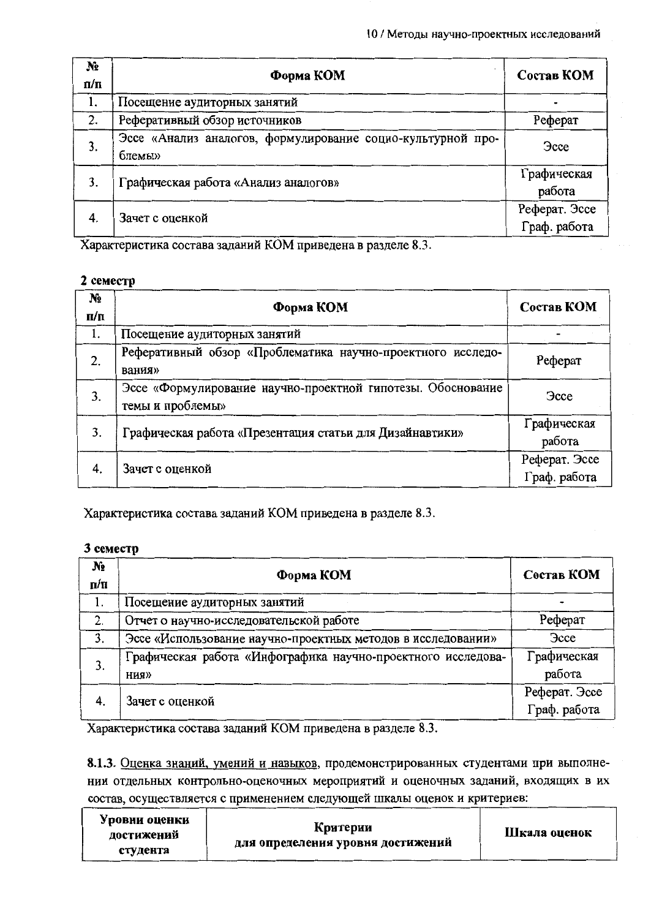| N <sub>2</sub><br>$\Pi/\Pi$ | Форма КОМ                                                             | Состав КОМ                    |
|-----------------------------|-----------------------------------------------------------------------|-------------------------------|
| 1.                          | Посещение аудиторных занятий                                          |                               |
| 2.                          | Реферативный обзор источников                                         | Реферат                       |
| 3.                          | Эссе «Анализ аналогов, формулирование социо-культурной про-<br>блемы» | <b>Gcce</b>                   |
| 3.                          | Графическая работа «Анализ аналогов»                                  | Графическая<br>работа         |
| 4.                          | Зачет с оценкой                                                       | Реферат. Эссе<br>Граф. работа |

Характеристика состава заданий КОМ приведена в разделе 8.3.

## 2 семестр

| $N_2$<br>$\Pi/\Pi$ | Форма КОМ                                                                       | Состав КОМ                    |
|--------------------|---------------------------------------------------------------------------------|-------------------------------|
| 1.                 | Посещение аудиторных занятий                                                    |                               |
| 2.                 | Реферативный обзор «Проблематика научно-проектного исследо-<br>вания»           | Реферат                       |
| 3.                 | Эссе «Формулирование научно-проектной гипотезы. Обоснование<br>темы и проблемы» | <b>Gcce</b>                   |
| 3.                 | Графическая работа «Презентация статьи для Дизайнавтики»                        | Графическая<br>работа         |
| 4.                 | Зачет с оценкой                                                                 | Реферат. Эссе<br>Граф. работа |

Характеристика состава заданий КОМ приведена в разделе 8.3.

## 3 семестр

| $N_2$<br>$\Pi/\Pi$ | Форма КОМ                                                    | Состав КОМ    |  |
|--------------------|--------------------------------------------------------------|---------------|--|
|                    | Посещение аудиторных занятий                                 |               |  |
| 2.                 | Отчет о научно-исследовательской работе                      | Реферат       |  |
| $\mathbf{3}$ .     | Эссе «Использование научно-проектных методов в исследовании» | <b>3cce</b>   |  |
| 3.                 | Графическая работа «Инфографика научно-проектного исследова- | Графическая   |  |
|                    | ния»                                                         | работа        |  |
| 4.                 | Зачет с оценкой                                              | Реферат. Эссе |  |
|                    |                                                              | Граф. работа  |  |

Характеристика состава заданий КОМ приведена в разделе 8.3.

8.1.3. Оценка знаний, умений и навыков, продемонстрированных студентами при выполнении отдельных контрольно-оценочных мероприятий и оценочных заданий, входящих в их состав, осуществляется с применением следующей шкалы оценок и критериев:

| Уровни оценки<br>достижений | Критерии<br>для определения уровня достижений | Шкала оценок |  |
|-----------------------------|-----------------------------------------------|--------------|--|
| студента                    |                                               |              |  |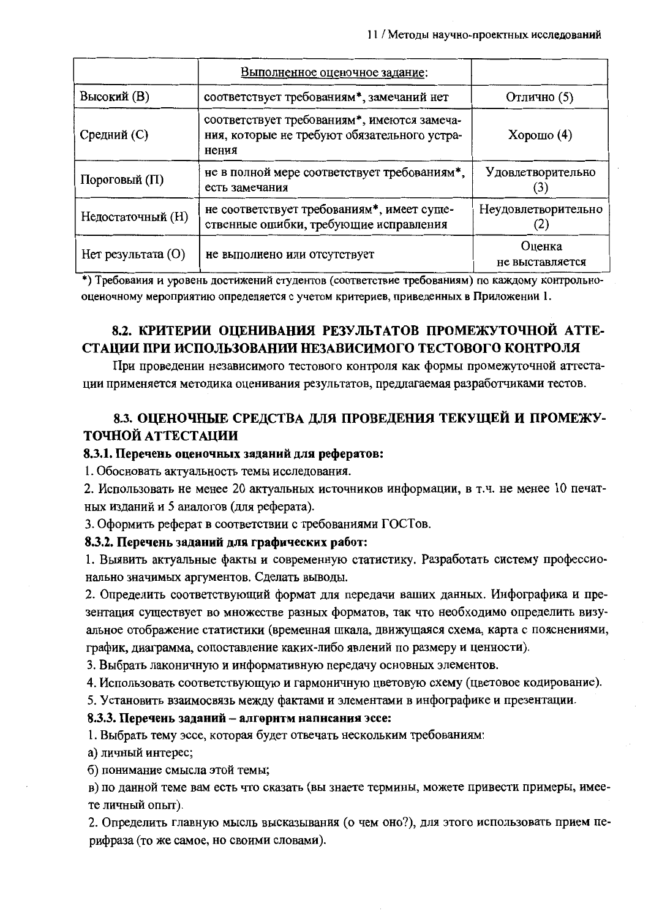|                    | Выполненное оценочное задание:                                                                       |                                     |
|--------------------|------------------------------------------------------------------------------------------------------|-------------------------------------|
| Высокий (В)        | соответствует требованиям*, замечаний нет                                                            | Отлично (5)                         |
| Средний (С)        | соответствует требованиям*, имеются замеча-<br>ния, которые не требуют обязательного устра-<br>нения | Хорошо $(4)$                        |
| Пороговый (П)      | не в полной мере соответствует требованиям*,<br>есть замечания                                       | Удовлетворительно                   |
| Недостаточный (H)  | не соответствует требованиям*, имеет суще-<br>ственные ошибки, требующие исправления                 | Неудовлетворительно<br>$\mathbf{Z}$ |
| Нет результата (О) | не выполнено или отсутствует                                                                         | Оценка<br>не выставляется           |

\*) Требования и уровень достижений студентов (соответствие требованиям) по каждому контрольнооценочному мероприятию определяется с учетом критериев, приведенных в Приложении 1.

# 8.2. КРИТЕРИИ ОПЕНИВАНИЯ РЕЗУЛЬТАТОВ ПРОМЕЖУТОЧНОЙ АТТЕ-СТАЦИИ ПРИ ИСПОЛЬЗОВАНИИ НЕЗАВИСИМОГО ТЕСТОВОГО КОНТРОЛЯ

При проведении независимого тестового контроля как формы промежуточной аттестации применяется методика оценивания результатов, предлагаемая разработчиками тестов.

# 8.3. ОЦЕНОЧНЫЕ СРЕДСТВА ДЛЯ ПРОВЕДЕНИЯ ТЕКУЩЕЙ И ПРОМЕЖУ-ТОЧНОЙ АТТЕСТАЦИИ

#### 8.3.1. Перечень оценочных заданий для рефератов:

1. Обосновать актуальность темы исследования.

2. Использовать не менее 20 актуальных источников информации, в т.ч. не менее 10 печатных изданий и 5 аналогов (для реферата).

3. Оформить реферат в соответствии с требованиями ГОСТов.

#### 8.3.2. Перечень заданий для графических работ:

1. Выявить актуальные факты и современную статистику. Разработать систему профессионально значимых аргументов. Сделать выводы.

2. Определить соответствующий формат для передачи ваших данных. Инфографика и презентация существует во множестве разных форматов, так что необходимо определить визуальное отображение статистики (временная шкала, движущаяся схема, карта с пояснениями, график, диаграмма, сопоставление каких-либо явлений по размеру и ценности).

3. Выбрать лаконичную и информативную передачу основных элементов.

4. Использовать соответствующую и гармоничную цветовую схему (цветовое кодирование).

5. Установить взаимосвязь между фактами и элементами в инфографике и презентации.

#### 8.3.3. Перечень заданий - алгорнтм написания эссе:

1. Выбрать тему эссе, которая будет отвечать нескольким требованиям:

а) личный интерес;

б) понимание смысла этой темы;

в) по данной теме вам есть что сказать (вы знаете термины, можете привести примеры, имеете личный опыт).

2. Определить главную мысль высказывания (о чем оно?), для этого использовать прием перифраза (то же самое, но своими словами).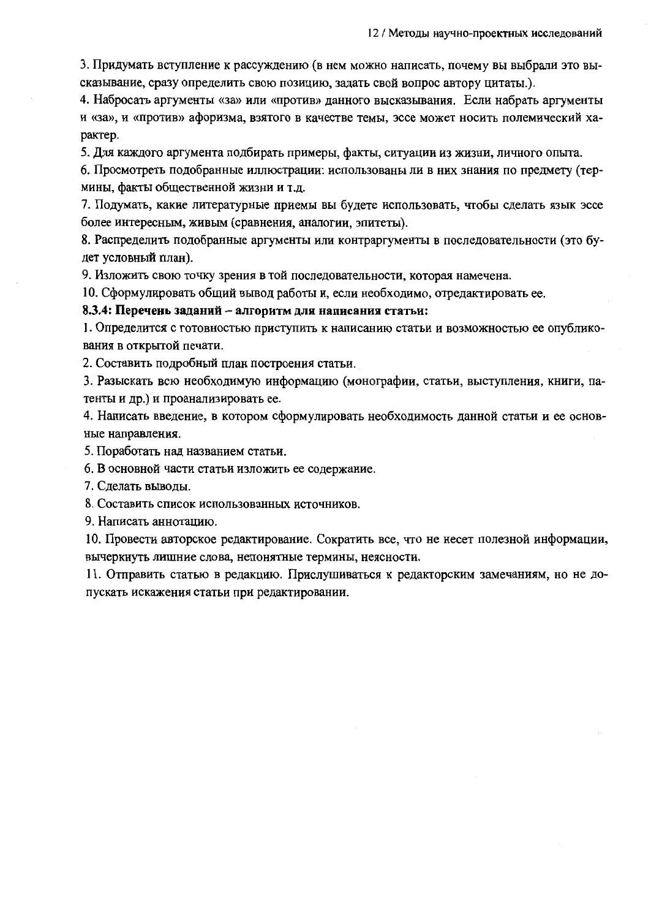3. Придумать вступление к рассуждению (в нем можно написать, почему вы выбрали это высказывание, сразу определить свою позицию, задать свой вопрос автору цитаты.).

4. Набросать аргументы «за» или «против» данного высказывания. Если набрать аргументы и «за», и «против» афоризма, взятого в качестве темы, эссе может носить полемический характер.

5. Для каждого аргумента подбирать примеры, факты, ситуации из жизни, личного опыта.

6. Просмотреть подобранные иллюстрации: использованы ли в них знания по предмету (термины, факты общественной жизни и т.д.

7. Подумать, какие литературные приемы вы будете использовать, чтобы сделать язык эссе более интересным, живым (сравнения, аналогии, эпитеты).

8. Распределить подобранные аргументы или контраргументы в последовательности (это булет условный план).

9. Изложить свою точку зрения в той последовательности, которая намечена.

10. Сформулировать общий вывод работы и, если необходимо, отредактировать ее.

#### 8.3.4: Перечень заданий - алгоритм для написания статьи:

1. Определится с готовностью приступить к написанию статьи и возможностью ее опубликования в открытой печати.

2. Составить подробный план построения статьи.

3. Разыскать всю необходимую информацию (монографии, статьи, выступления, книги, патенты и др.) и проанализировать ее.

4. Написать введение, в котором сформулировать необходимость данной статьи и ее основные направления.

5. Поработать над названием статьи.

6. В основной части статьи изложить ее содержание.

7. Сделать выводы.

8. Составить список использованных источников.

9. Написать аннотацию.

10. Провести авторское редактирование. Сократить все, что не несет полезной информации, вычеркнуть лишние слова, непонятные термины, неясности.

11. Отправить статью в редакцию. Прислушиваться к редакторским замечаниям, но не допускать искажения статьи при редактировании.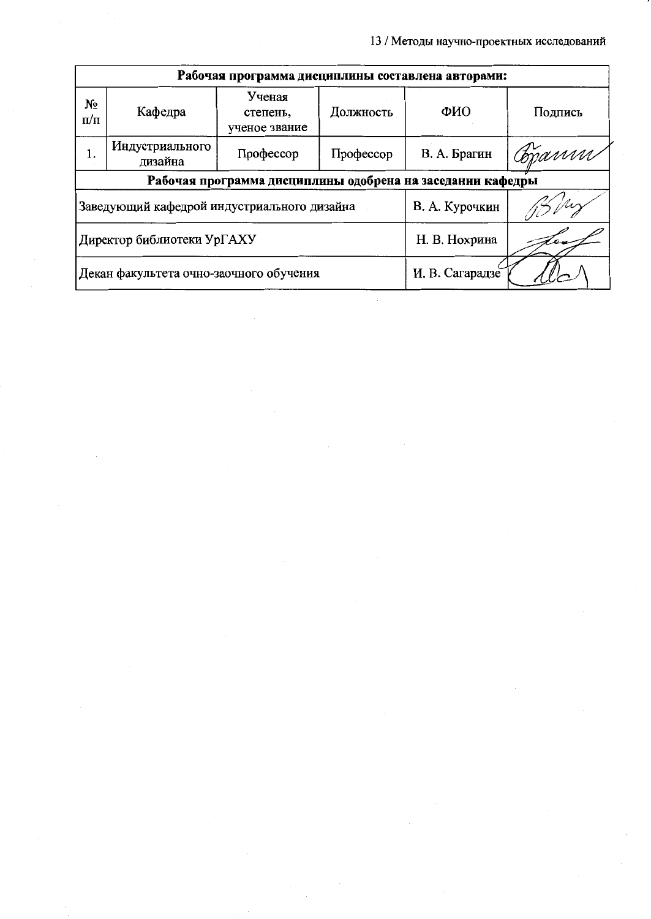| Рабочая программа дисциплины составлена авторами:          |                            |                                     |                 |              |         |
|------------------------------------------------------------|----------------------------|-------------------------------------|-----------------|--------------|---------|
| No<br>$\pi/\pi$                                            | Кафедра                    | Ученая<br>степень,<br>ученое звание | Должность       | ФИО          | Подпись |
| 1.                                                         | Индустриального<br>дизайна | Профессор                           | Профессор       | В. А. Брагин | Copann  |
| Рабочая программа дисциплины одобрена на заседании кафедры |                            |                                     |                 |              |         |
| Заведующий кафедрой индустриального дизайна                |                            |                                     | В. А. Курочкин  |              |         |
| Директор библиотеки УрГАХУ                                 |                            |                                     | Н. В. Нохрина   |              |         |
| Декан факультета очно-заочного обучения                    |                            |                                     | И. В. Сагарадзе |              |         |